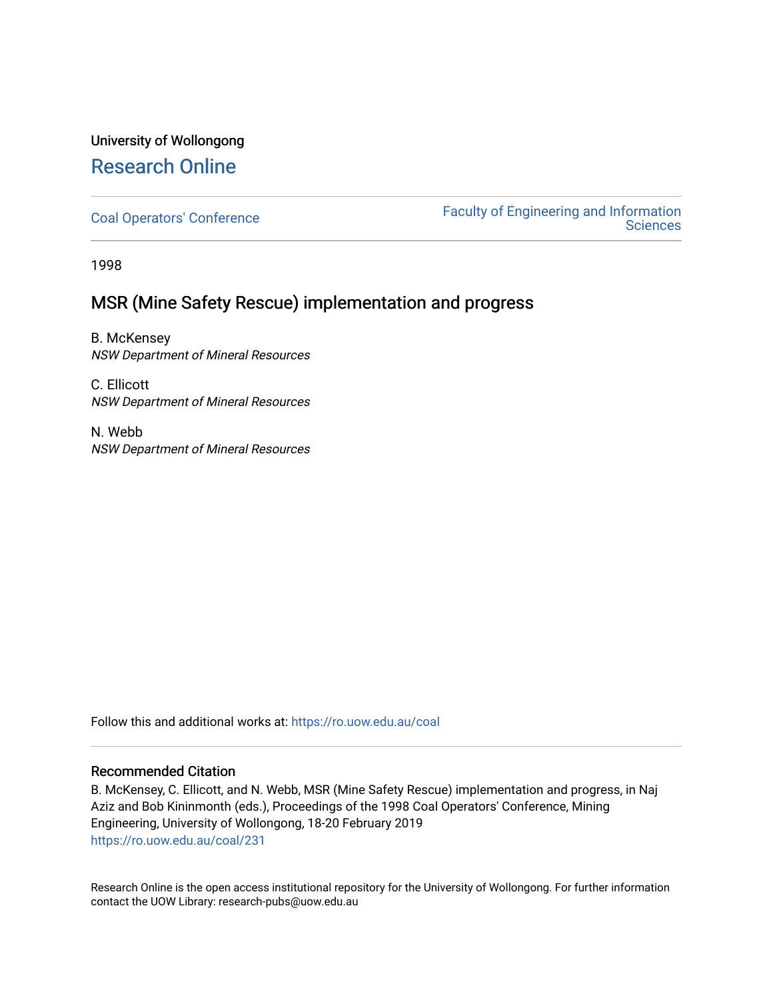## University of Wollongong [Research Online](https://ro.uow.edu.au/)

[Coal Operators' Conference](https://ro.uow.edu.au/coal) [Faculty of Engineering and Information](https://ro.uow.edu.au/eis)  **Sciences** 

1998

## MSR (Mine Safety Rescue) implementation and progress

B. McKensey NSW Department of Mineral Resources

C. Ellicott NSW Department of Mineral Resources

N. Webb NSW Department of Mineral Resources

Follow this and additional works at: [https://ro.uow.edu.au/coal](https://ro.uow.edu.au/coal?utm_source=ro.uow.edu.au%2Fcoal%2F231&utm_medium=PDF&utm_campaign=PDFCoverPages) 

### Recommended Citation

B. McKensey, C. Ellicott, and N. Webb, MSR (Mine Safety Rescue) implementation and progress, in Naj Aziz and Bob Kininmonth (eds.), Proceedings of the 1998 Coal Operators' Conference, Mining Engineering, University of Wollongong, 18-20 February 2019 [https://ro.uow.edu.au/coal/231](https://ro.uow.edu.au/coal/231?utm_source=ro.uow.edu.au%2Fcoal%2F231&utm_medium=PDF&utm_campaign=PDFCoverPages) 

Research Online is the open access institutional repository for the University of Wollongong. For further information contact the UOW Library: research-pubs@uow.edu.au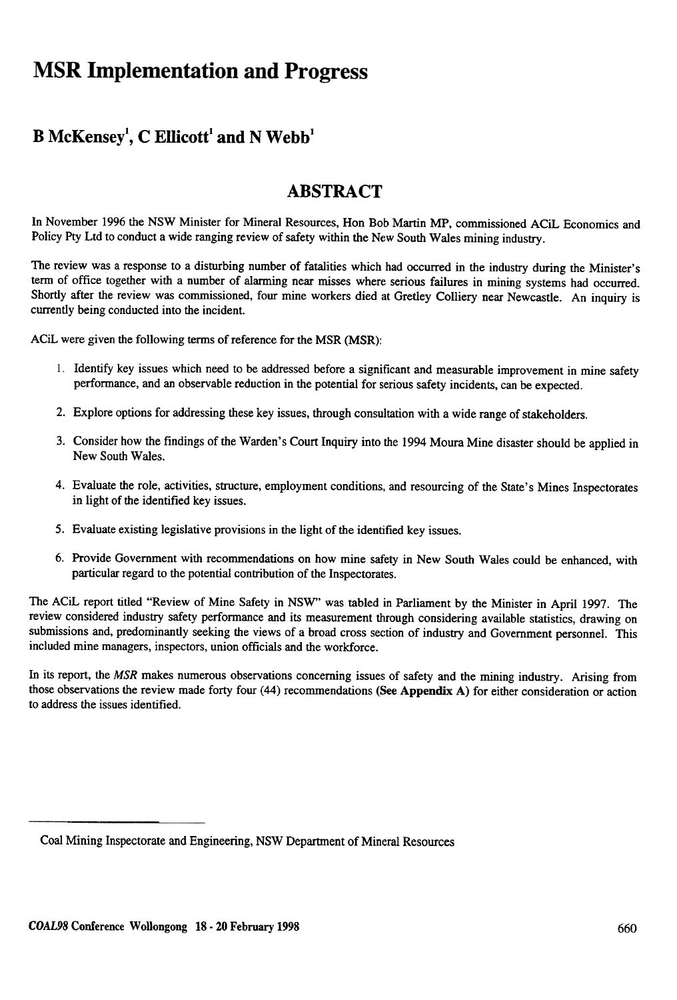# **MSR Implementation and Progress**

## $B$  McKensey<sup>1</sup>, C Ellicott<sup>1</sup> and N Webb<sup>1</sup>

## ABSTRACT

In November 1996 the NSW Minister for Mineral Resources, Ron Bob Martin MP, commissioned ACiL Economics and Policy Pty Ltd to conduct a wide ranging review of safety within the New South Wales mining industry.

The review was a response to a disturbing number of fatalities which had occurred in the industry during the Minister's term of office together with a number of alarming near misses where serious failures in mining systems had occurred. Shortly after the review was commissioned, four mine workers died at Gretley Colliery near Newcastle. An inquiry is currently being conducted into the incident.

ACiL were given the following terms of reference for the MSR (MSR):

- 1. Identify key issues which need to be addressed before a significant and measurable improvement in mine safety performance, and an observable reduction in the potential for serious safety incidents, can be expected.
- 2. Explore options for addressing these key issues, through consultation with a wide range of stakeholders.
- 3. Consider how the findings of the Warden's Court Inquiry into the 1994 Moura Mine disaster should be applied in New South Wales.
- 4. Evaluate the role, activities, structure, employment conditions, and resourcing of the State's Mines Inspectorates in light of the identified key issues.
- 5. Evaluate existing legislative provisions in the light of the identified key issues.
- 6. Provide Government with recommendations on how mine safety in New South Wales could be enhanced, with particular regard to the potential contribution of the Inspectorates.

The ACiL report titled "Review of Mine Safety in NSW" was tabled in Parliament by the Minister in April 1997. The review considered industry safety perfonnance and its measurement through considering available statistics, drawing on submissions and, predominantly seeking the views of a broad cross section of industry and Government personnel. This included mine managers, inspectors, union officials and the workforce.

In its report, the MSR makes numerous observations concerning issues of safety and the mining industry. Arising from those observations the review made forty four (44) recommendations (See Appendix A) for either consideration or action to address the issues identified.

Coal Mining Inspectorate and Engineering, NSW Department of Mineral Resources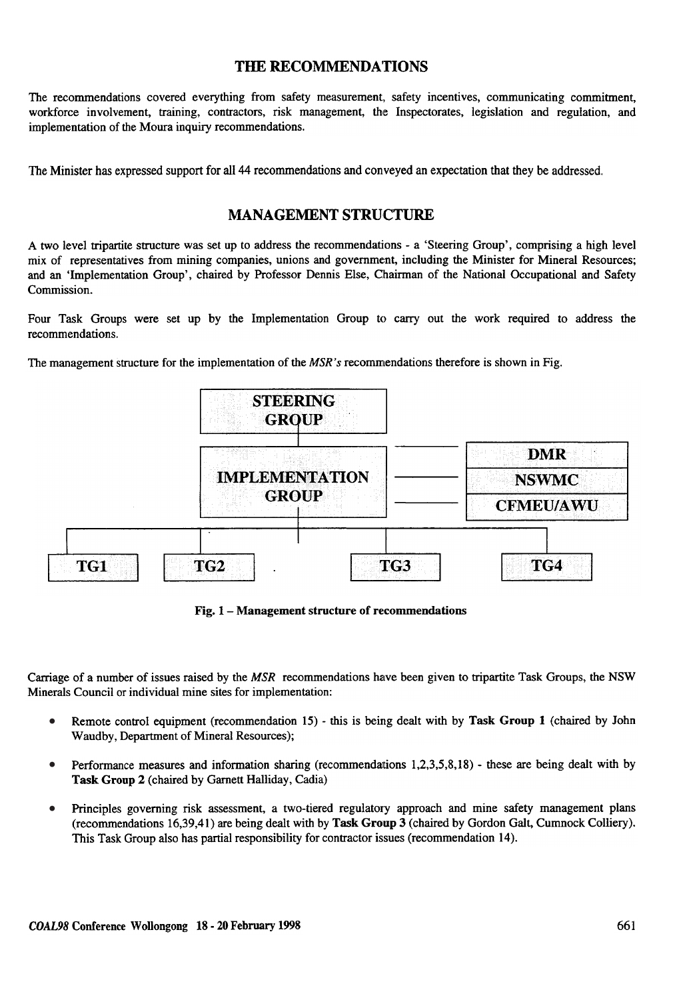### THE RECOMMENDATIONS

The recommendations covered everything from safety measurement, safety incentives, communicating commitment, workforce involvement, training, contractors, risk management, the Inspectorates, legislation and regulation, and implementation of the Moura inquiry recommendations.

The Minister has expressed support for all 44 recommendations and conveyed an expectation that they be addressed.

## **MANAGEMENT STRUCTURE**

A two level tripartite structure was set up to address the recommendations - a 'Steering Group', comprising a high level mix of representatives from mining companies, unions and government, including the Minister for Mineral Resources; and an 'Implementation Group', chaired by Professor Dennis Else, Chairman of the National Occupational and Safety Commission.

Four Task Groups were set up by the Implementation Group to carry out the work required to address the recommendations.

The management structure for the implementation of the  $MSR's$  recommendations therefore is shown in Fig.



Fig. 1 -Management structure of recommendations

Carriage of a number of issues raised by the  $MSR$  recommendations have been given to tripartite Task Groups, the NSW Minerals Council or individual mine sites for implementation:

- Remote control equipment (recommendation 15) this is being dealt with by Task Group 1 (chaired by John Waudby, Department of Mineral Resources); •
- Performance measures and information sharing (recommendations 1,2,3,5,8,18) these are being dealt with by Task Group 2 (chaired by Garnett Halliday, Cadia} •
- Principles governing risk assessment, a two-tiered regulatory approach and mine safety management plans (recommendations 16,39,41) are being dealt with by Task Group 3 (chaired by Gordon Galt, Cumnock Colliery). This Task Group also has partial responsibility for contractor issues (recommendation 14). •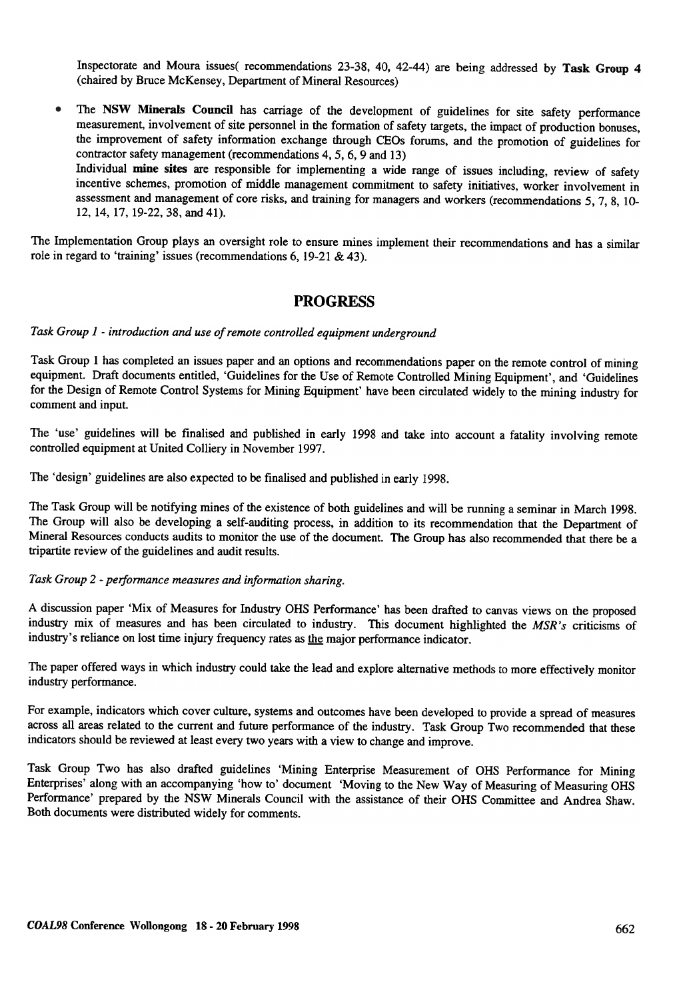Inspectorate and Moura issues( recommendations 23-38, 40, 42-44) are being addressed by Task Group 4 (chaired by Bruce McKensey, Department of Mineral Resources)

The NSW Minerals Council has carriage of the development of guidelines for site safety performance measurement, involvement of site personnel in the formation of safety targets, the impact of production bonuses, the improvement of safety information exchange through C'EOs forums, and the promotion of guidelines for contractor safety management (recommendations 4,5,6,9 and 13) Individual mine sites are responsible for implementing a wide range of issues including, review of safety incentive schemes, promotion of middle management commitment to safety initiatives, worker involvement in assessment and management of core risks, and training for managers and workers (recommendations 5, 7, 8, 10-•

The Implementation Group plays an oversight role to ensure mines implement their recommendations and has a similar role in regard to 'training' issues (recommendations 6, 19-21 & 43).

### PROGRESS

Task Group 1 - introduction and use of remote controlled equipment underground

12, 14, 17, 19-22, 38, and 41).

Task Group 1 has completed an issues paper and an options and recommendations paper on the remote control of mining equipment. Draft documents entitled, 'Guidelines for the Use of Remote Controlled Mining Equipment', and 'Guidelines for the Design of Remote Control Systems for Mining Equipment' have been circulated widely to the mining industry for comment and input.

The 'use' guidelines will be finalised and published in early 1998 and take into account a fatality involving remote controlled equipment at United Colliery in November 1997.

The 'design' guidelines are also expected to be finalised and published jn early 1998.

The Task Group will be notifying mines of the existence of both guidelines and will be running a seminar in March 1998. The Group will also be developing a self-auditing process, in addition to its recommendation that the Department of Mineral Resources conducts audits to monitor the use of the document. The Group has also recommended that there be a tripartite review of the guidelines and audit results.

#### Task Group 2 - performance measures and information sharing.

A discussion paper 'Mix of Measures for Industry OHS Performance' has been drafted to canvas views on the proposed industry mix of measures and has been circulated to industry. This document highlighted the MSR's criticisms of industry's reliance on lost time injury frequency rates as the major performance indicator.

The paper offered ways in which industry could take the lead and explore alternative methods to more effectively monitor industry performance.

For example, indicators which cover culture, systems and outcomes have been developed to provide a spread of measures across all areas related to the current and future performance of the industry. Task Group Two recommended that these indicators should be reviewed at least every two years with a view to change and improve.

Task Group Two has also drafted guidelines 'Mining Enterprise Measurement of OHS Performance for Mining Enterprises' along with an accompanying 'how to' document 'Moving to the New Way of Measuring of Measuring OHS Performance' prepared by the NSW Minerals Council with the assistance of their OHS Committee and Andrea Shaw. Both documents were distributed widely for comments.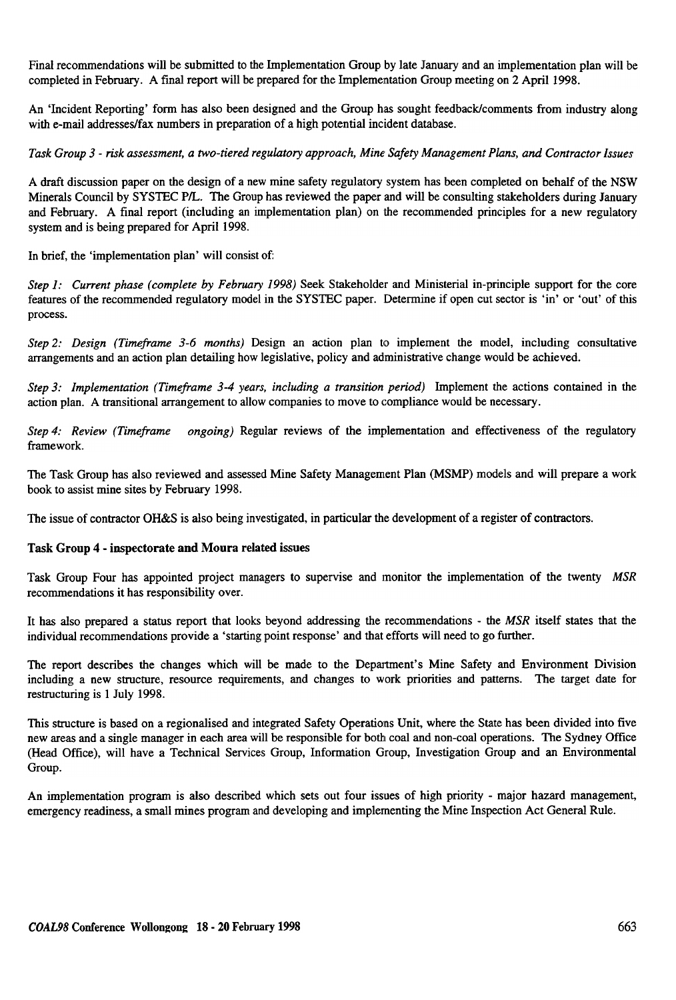Final recommendations will be submitted to the Implementation Group by late January and an implementation plan will be completed in February. A final report will be prepared for the Implementation Group meeting on 2 April 1998.

An 'Incident Reporting' form has also been designed and the Group has sought feedback/comments from industry along with e-mail addresses/fax numbers in preparation of a high potential incident database.

Task Group 3 - risk assessment, a two-tiered regulatory approach, Mine Safety Management Plans, and Contractor Issues

A draft discussion paper on the design of a new mine safety regulatory system has been completed on behalf of the NSW Minerals Council by SYSTEC P/L. The Group has reviewed the paper and will be consulting stakeholders during January and February. A final report (including an implementation plan) on the recommended principles for a new regulatory system and is being prepared for April 1998.

In brief, the 'implementation plan' will consist of:

Step 1: Current phase (complete by February 1998) Seek Stakeholder and Ministerial in-principle support for the core features of the recommended regulatory model in the SYSTEC paper. Determine if open cut sector is 'in' or 'out' of this process.

Step 2: Design (Timeframe 3-6 months) Design an action plan to implement the model, including consultative arrangements and an action plan detailing how legislative, policy and administrative change would be achieved.

Step 3: Implementation (Timeframe 3-4 years, including a transition period) Implement the actions contained in the action plan. A transitional arrangement to allow companies to move to compliance would be necessary.

Step 4: Review (Timeframe ongoing) Regular reviews of the implementation and effectiveness of the regulator framework.

The Task Group has also reviewed and assessed Mine Safety Management Plan (MSMP) models and will prepare a work book to assist mine sites by February 1998.

The issue of contractor OH&S is also being investigated, in particular the development of a register of contractors.

#### Task Group 4 - inspectorate and Moura related issues

Task Group Four has appointed project managers to supervise and monitor the implementation of the twenty MSR recommendations it has responsibility over.

It has also prepared a status report that looks beyond addressing the recommendations - the MSR itself states that the individual recommendations provide a 'starting point response' and that efforts will need to go further.

The report describes the changes which will be made to the Department's Mine Safety and Environment Division including a new structure, resource requirements, and changes to work priorities and patterns. The target date for restructuring is 1 July 1998.

This structure is based on a regionalised and integrated Safety Operations Unit, where the State has been divided into five new areas and a single manager in each area will be responsible for both coal and non-coal operations. The Sydney Office (Head Office), will have a Technical Services Group, Information Group, Investigation Group and an Environmental Group.

An implementation program is also described which sets out four issues of high priority - major hazard management, emergency readiness, a small mines program and developing and implementing the Mine Inspection Act General Rule.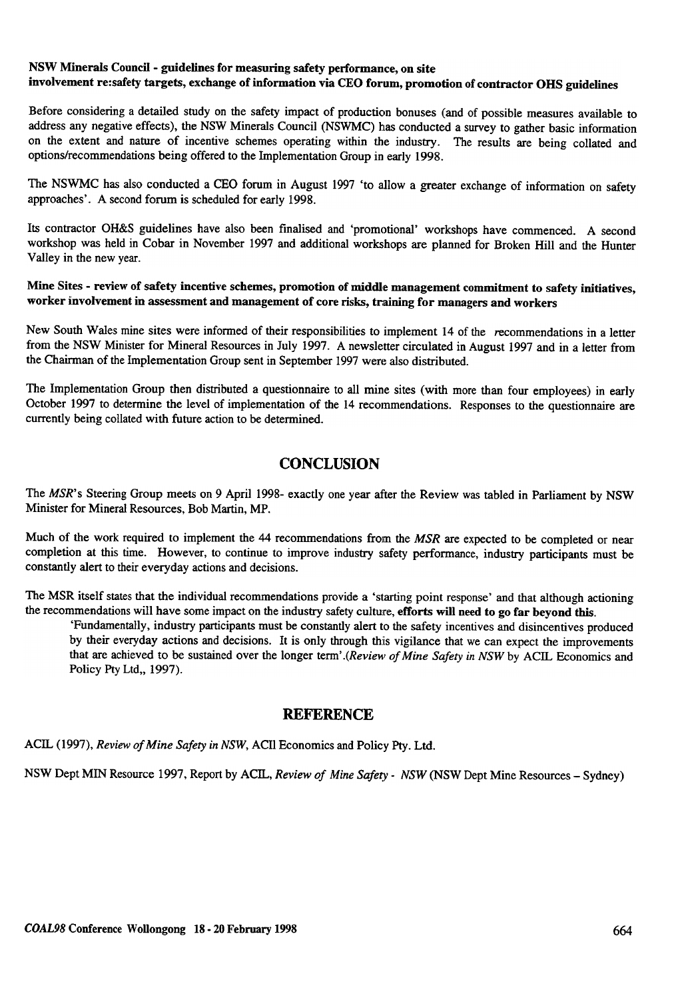### NSW Minerals Council -guidelines for measuring safety performance, on site involvement re:safety targets, exchange of information via CEO forum, promotion of contractor OHS guidelines

Before considering a detailed study on the safety impact of production bonuses (and of possible measures available to address any negative effects), the NSW Minerals Council (NSWMC) has conducted a survey to gather basic information on the extent and nature of incentive schemes operating within the industry. The results are being collated and options/recommendations being offered to the Implementation Group in early 1998.

The NSWMC has also conducted a CEO forum in August 1997 'to allow a greater exchange of information on safety approaches'. A second forum is scheduled for early 1998.

Its contractor OH&S guidelines have also been tinalised and 'promotional' workshops have commenced. A second workshop was held in Cobar in November 1997 and additional workshops are planned for Broken Hill and the Hunter Valley in the new year.

Mine Sites - review of safety incentive schemes, promotion of middle management commitment to safety initiatives, worker involvement in assessment and management of core risks, training for managers and workers

New South Wales mine sites were informed of their responsibilities to implement 14 of the recommendations in a letter from the NSW Minister for Mineral Resources in July 1997. A newsletter circulated in August 1997 and in a letter from the Chairman of the Implementation Group sent in September 1997 were also distributed.

The Implementation Group then distributed a questionnaire to all mine sites (with more than four employees) in early October 1997 to determine the level of implementation of the 14 recommendations. Responses to the questionnaire are currently being collated with future action to be determined.

## **CONCLUSION**

The MSR's Steering Group meets on 9 April 1998- exactly one year after the Review was tabled in Parliament by NSW Minister for Mineral Resources, Bob Martin, MP .

Much of the work required to implement the 44 recommendations from the MSR are expected to be completed or near completion at this time. However, to continue to improve industry safety performance, industry participants must be constantly alert to their everyday actions and decisions.

The MSR itself states that the individual recommendations provide a 'starting point response' and that although actioning the recommendations will have some impact on the industry safety culture, efforts will need to go far beyond this.

'Fundamentally, industry participants must be constantly alert to the safety incentives and disincentives produced by their everyday actions and decisions. It is only through this vigilance that we can expect the improvements that are achieved to be sustained over the longer term'.(Review of Mine Safety in NSW by ACIL Economics and Policy Pty Ltd,, 1997).

## **REFERENCE**

ACIL (1997), Review of Mine Safety in NSW, ACII Economics and Policy Pty. Ltd.

NSW Dept MIN Resource 1997, Report by ACIL, Review of Mine Safety - NSW (NSW Dept Mine Resources - Sydney)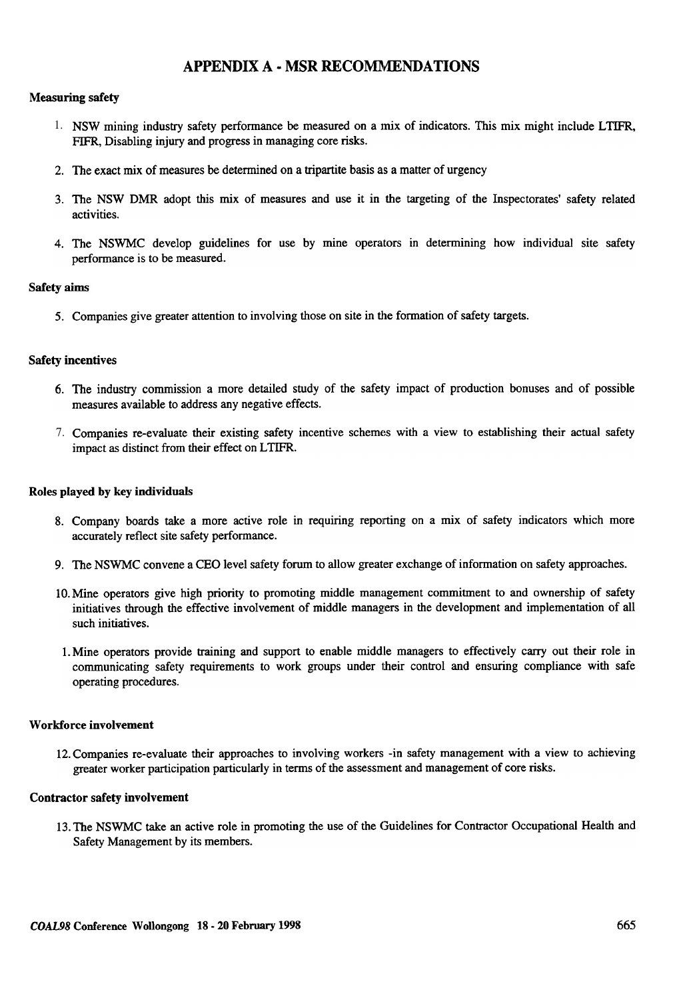## APPENDIX A - MSR RECOMMENDATIONS

#### Measuring safety

- 1. NSW mining industry safety performance be measured on a mix of indicators. This mix might include LTIFR FIFR, Disabling injury and progress in managing core risks.
- 2. The exact mix of measures be determined on a tripartite basis as a matter of urgency
- 3. The NSW DMR adopt this mix of measures and use it in the targeting of the Inspectorates' safety related activities.
- 4. The NSWMC develop guidelines for use by mine operators in determining how individual site safety performance is to be measured.

#### Safety aims

5. Companies give greater attention to involving those on site in the formation of safety targets.

#### Safety incentives

- 6. The industry commission a more detailed study of the safety impact of production bonuses and of possible measures available to address any negative effects.
- 7. Companies re-evaluate their existing safety incentive schemes with a view to establishing their actual safety impact as distinct from their effect on LTIFR.

#### Roles played by key individuals

- 8. Company boards take a more active role in requiring reporting on a mix of safety indicators which more accurately reflect site safety performance.
- 9. The NSWMC convene a CEO level safety forum to allow greater exchange of information on safety approaches.
- 10. Mine operators give high priority to promoting middle management commitment to and ownership of safety initiatives through the effective involvement of middle managers in the development and implementation of all such initiatives.
- 1. Mine operators provide training and support to enable middle managers to effectively carry out their role in communicating safety requirements to work groups under Iheir control and ensuring compliance with safe operating procedures.

#### Workforce involvement

12. Companies re-evaluate their approaches to involving workers -in safety management with a view to achieving greater worker participation particularly in terms of the assessment and management of core risks.

#### Contractor safety involvement

13. The NSWMC take an active role in promoting the use of the Guidelines for Contractor Occupational Health and Safety Management by its members.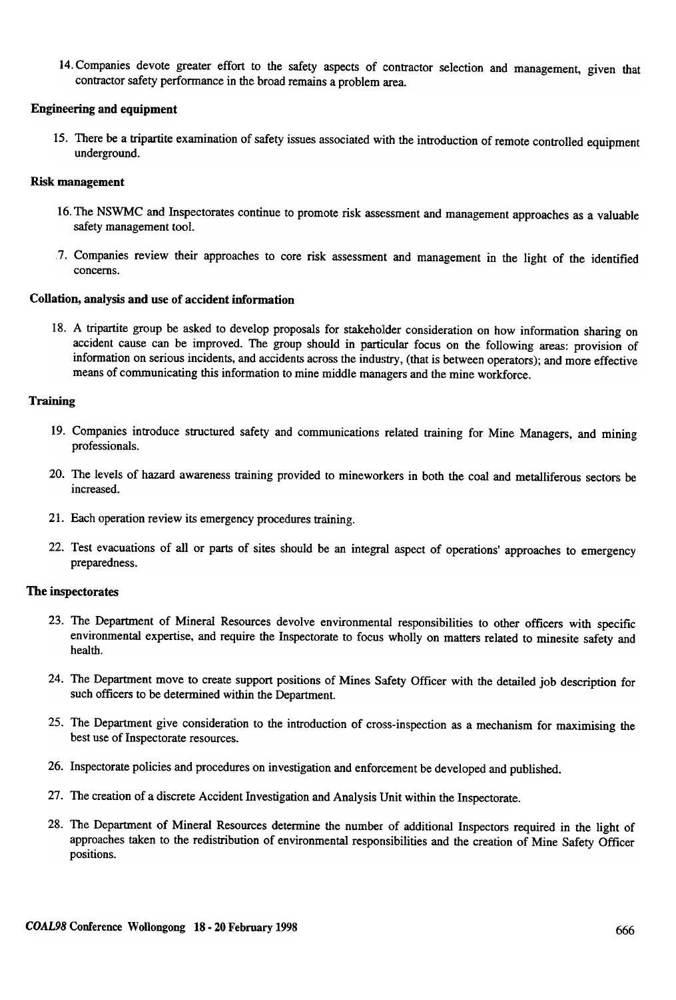14. Companies devote greater effort to the safety aspects of contractor selection and management, given that contractor safety performance in the broad remains a problem area.

#### Engineering and equipment

15. There be a tripartite examination of safety issues associated with the introduction of remote controlled equipment underground.

#### Risk management

- 16. The NSWMC and Inspectorates continue to promote risk assessment and management approaches as a valuable safety management tool.
- 7. Companies review their approaches to core risk assessment and management in the light of the identified concerns.

#### Collation, analysis and use of accident information

18. A tripartite group be asked to develop proposals for stakeholder consideration on how information sharing on accident cause can be improved. The group should in particular focus on the following areas: provision of information on serious incidents, and accidents across the industry, (that is between operators); and more effective means of communicating this information to mine middle managers and the mine workforce.

#### **Training**

- 19. Companies introduce structured safety and communications related training for Mine Managers, and mining professionals.
- 20. The levels of hazard awareness training provided to mineworkers in both the coal and metalliferous sectors be increased.
- 21. Each operation review its emergency procedures training.
- 22. Test evacuations of all or parts of sites should be an integral aspect of operations' approaches to emergency preparedness.

#### The inspectorates

- 23. The Department of Mineral Resources devolve environmental responsibilities to other officers with specific environmental expertise, and require the Inspectorate to focus wholly on matters related to minesite safety and health.
- 24. The Department move to create support positions of Mines Safety Officer with the detailed job description for such officers to be determined within the Department.
- 25. The Department give consideration to the introduction of cross-inspection as a mechanism for maximising the best use of Inspectorate resources.
- 26. Inspectorate policies and procedures on investigation and enforcement be developed and published.
- 27. The creation of a discrete Accident Investigation and Analysis Unit within the Inspectorate.
- 28. The Department of Mineral Resources determine the number of additional Inspectors required in the light of approaches taken to the redistribution of environmental responsibilities and the creation of Mine Safety Officer positions.